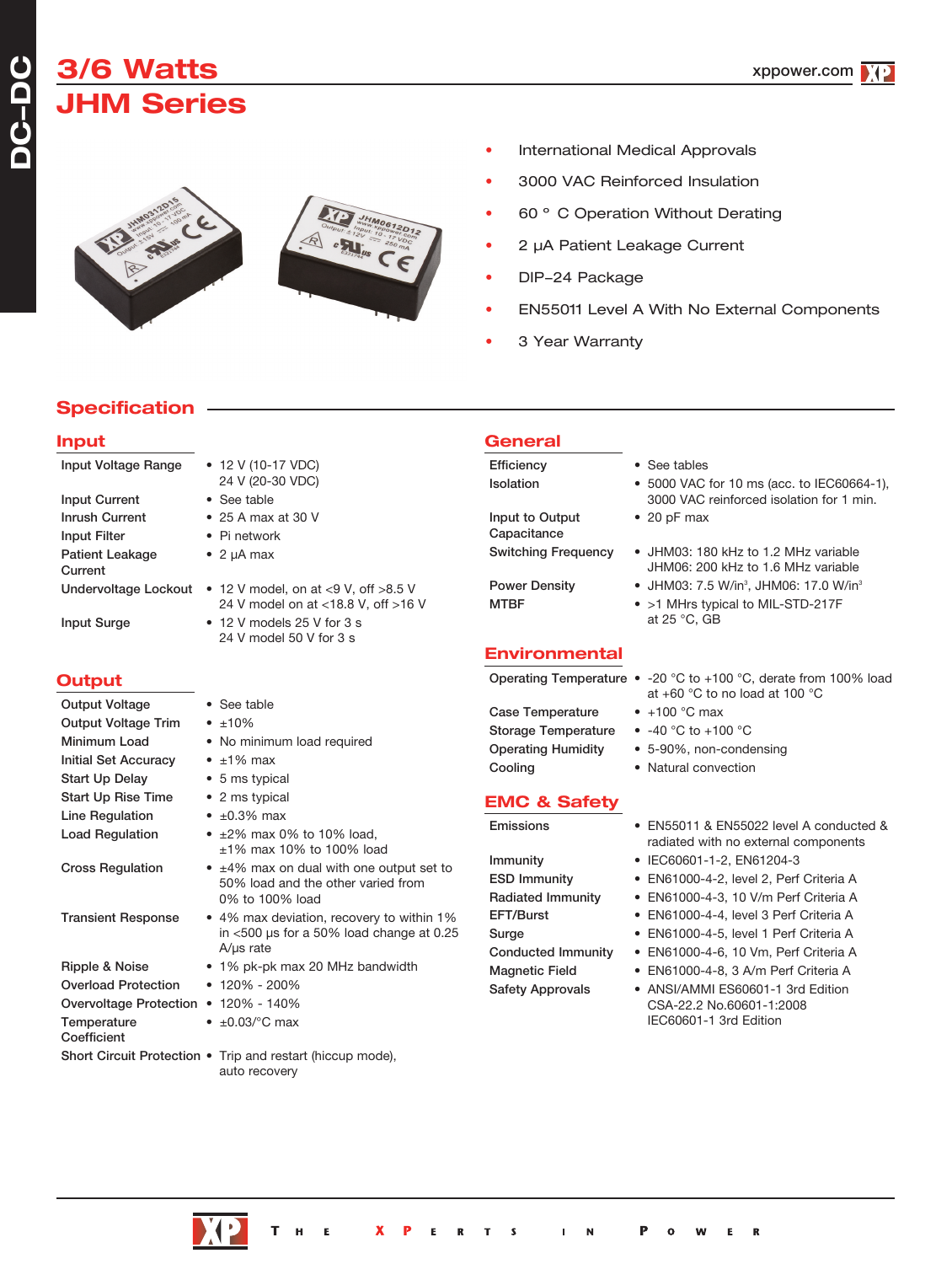# **3/6 Watts JHM Series**





- International Medical Approvals
- 3000 VAC Reinforced Insulation
- 60 ° C Operation Without Derating
- 2 µA Patient Leakage Current
- DIP-24 Package
- EN55011 Level A With No External Components

at 25 °C, GB

3 Year Warranty

# **Specification**

#### **Input**

| Input Voltage Range               | • 12 V (10-17 VDC)<br>24 V (20-30 VDC)  |
|-----------------------------------|-----------------------------------------|
| Input Current                     | • See table                             |
| <b>Inrush Current</b>             | $\bullet$ 25 A max at 30 V              |
| Input Filter                      | • Pi network                            |
| <b>Patient Leakage</b><br>Current | $\bullet$ 2 µA max                      |
| Undervoltage Lockout              | • 12 V model, on at<br>24 V model on at |
| 1.1.1.0.1.0.1.1                   | $-40.11$ $-1.1$ $-07.1$                 |

#### **Output**

| <b>Output Voltage</b>       |
|-----------------------------|
| <b>Output Voltage Trim</b>  |
| Minimum Load                |
| <b>Initial Set Accuracy</b> |
| <b>Start Up Delay</b>       |
| <b>Start Up Rise Time</b>   |
| Line Regulation             |
| <b>Load Regulation</b>      |
| <b>Cross Regulation</b>     |
|                             |

| <b>Hansleht Response</b> |
|--------------------------|
|                          |

| Ripple & Noise             |
|----------------------------|
| <b>Overload Protection</b> |
| Overvoltage Protectic      |
| Temperature                |
| Coefficient                |
|                            |

- 24 V (20-30 VDC) • See table  $\bullet$  25 A max at 30 V
- $\bullet$  Pi network
- $\bullet$  2 µA max
- $u$ t 12 V model, on at <9 V, off >8.5 V 24 V model on at <18.8 V, off >16 V Input Surge • 12 V models 25 V for 3 s
	- 24 V model 50 V for 3 s
	- See table  $\cdot$  ±10% • No minimum load required  $\cdot \pm 1\%$  max  $• 5 ms typical$  $\bullet$  2 ms typical  $\cdot$  ±0.3% max  $\cdot$  ±2% max 0% to 10% load. ±1% max 10% to 100% load  $\cdot$  ±4% max on dual with one output set to 50% load and the other varied from 0% to 100% load
	- 4% max deviation, recovery to within 1% in <500 µs for a 50% load change at 0.25 A/µs rate
		- 1% pk-pk max 20 MHz bandwidth
	- $120\% 200\%$  $on - 120\% - 140\%$ 
		- $\bullet$  ±0.03/°C max
		-
- Short Circuit Protection . Trip and restart (hiccup mode), auto recovery

### **General**

Efficiency • See tables Isolation • 5000 VAC for 10 ms (acc. to IEC60664-1),

Input to Output • 20 pF max **Capacitance** Switching Frequency • JHM03: 180 kHz to 1.2 MHz variable

Power Density • JHM03: 7.5 W/in<sup>3</sup>, JHM06: 17.0 W/in<sup>3</sup> MTBF • >1 MHrs typical to MIL-STD-217F

**Environmental**

Operating Temperature • -20 °C to +100 °C, derate from 100% load

Case Temperature • +100 °C max Storage Temperature • -40 °C to +100 °C Operating Humidity • 5-90%, non-condensing Cooling • Natural convection

### **EMC & Safety**

Emissions • EN55011 & EN55022 level A conducted & radiated with no external components

3000 VAC reinforced isolation for 1 min.

JHM06: 200 kHz to 1.6 MHz variable

at +60 °C to no load at 100 °C

- Immunity IEC60601-1-2, EN61204-3
- ESD Immunity EN61000-4-2, level 2, Perf Criteria A
- Radiated Immunity EN61000-4-3, 10 V/m Perf Criteria A
- EFT/Burst EN61000-4-4, level 3 Perf Criteria A
- Surge EN61000-4-5, level 1 Perf Criteria A
- Conducted Immunity EN61000-4-6, 10 Vm, Perf Criteria A
- Magnetic Field EN61000-4-8, 3 A/m Perf Criteria A
- Safety Approvals ANSI/AMMI ES60601-1 3rd Edition CSA-22.2 No.60601-1:2008 IEC60601-1 3rd Edition

 $\mathbf R$